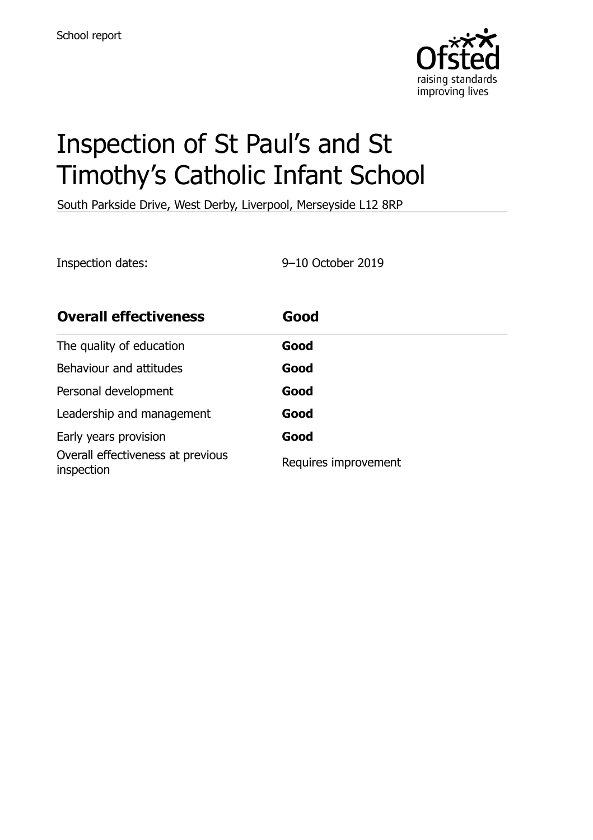

# Inspection of St Paul's and St Timothy's Catholic Infant School

South Parkside Drive, West Derby, Liverpool, Merseyside L12 8RP

Inspection dates: 9–10 October 2019

| <b>Overall effectiveness</b>                    | Good                 |
|-------------------------------------------------|----------------------|
| The quality of education                        | Good                 |
| Behaviour and attitudes                         | Good                 |
| Personal development                            | Good                 |
| Leadership and management                       | Good                 |
| Early years provision                           | Good                 |
| Overall effectiveness at previous<br>inspection | Requires improvement |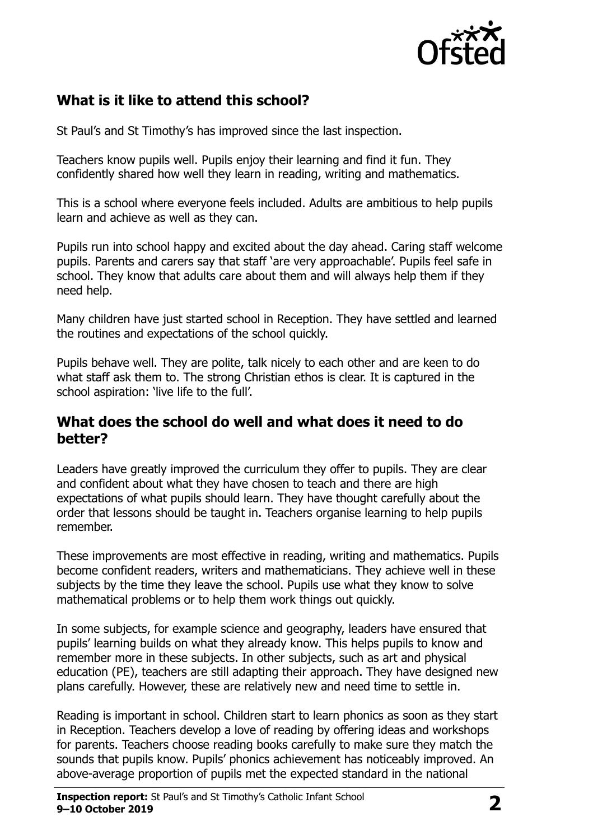

# **What is it like to attend this school?**

St Paul's and St Timothy's has improved since the last inspection.

Teachers know pupils well. Pupils enjoy their learning and find it fun. They confidently shared how well they learn in reading, writing and mathematics.

This is a school where everyone feels included. Adults are ambitious to help pupils learn and achieve as well as they can.

Pupils run into school happy and excited about the day ahead. Caring staff welcome pupils. Parents and carers say that staff 'are very approachable'. Pupils feel safe in school. They know that adults care about them and will always help them if they need help.

Many children have just started school in Reception. They have settled and learned the routines and expectations of the school quickly.

Pupils behave well. They are polite, talk nicely to each other and are keen to do what staff ask them to. The strong Christian ethos is clear. It is captured in the school aspiration: 'live life to the full'.

#### **What does the school do well and what does it need to do better?**

Leaders have greatly improved the curriculum they offer to pupils. They are clear and confident about what they have chosen to teach and there are high expectations of what pupils should learn. They have thought carefully about the order that lessons should be taught in. Teachers organise learning to help pupils remember.

These improvements are most effective in reading, writing and mathematics. Pupils become confident readers, writers and mathematicians. They achieve well in these subjects by the time they leave the school. Pupils use what they know to solve mathematical problems or to help them work things out quickly.

In some subjects, for example science and geography, leaders have ensured that pupils' learning builds on what they already know. This helps pupils to know and remember more in these subjects. In other subjects, such as art and physical education (PE), teachers are still adapting their approach. They have designed new plans carefully. However, these are relatively new and need time to settle in.

Reading is important in school. Children start to learn phonics as soon as they start in Reception. Teachers develop a love of reading by offering ideas and workshops for parents. Teachers choose reading books carefully to make sure they match the sounds that pupils know. Pupils' phonics achievement has noticeably improved. An above-average proportion of pupils met the expected standard in the national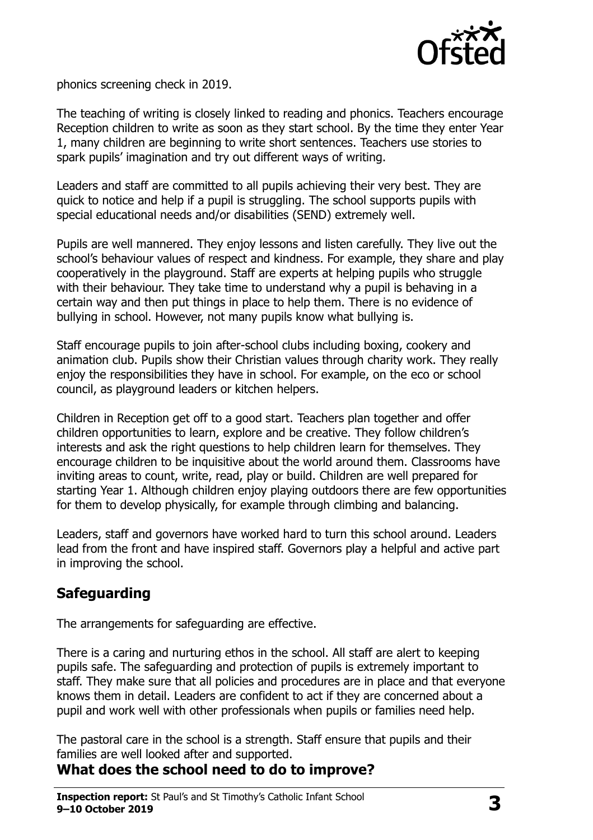

phonics screening check in 2019.

The teaching of writing is closely linked to reading and phonics. Teachers encourage Reception children to write as soon as they start school. By the time they enter Year 1, many children are beginning to write short sentences. Teachers use stories to spark pupils' imagination and try out different ways of writing.

Leaders and staff are committed to all pupils achieving their very best. They are quick to notice and help if a pupil is struggling. The school supports pupils with special educational needs and/or disabilities (SEND) extremely well.

Pupils are well mannered. They enjoy lessons and listen carefully. They live out the school's behaviour values of respect and kindness. For example, they share and play cooperatively in the playground. Staff are experts at helping pupils who struggle with their behaviour. They take time to understand why a pupil is behaving in a certain way and then put things in place to help them. There is no evidence of bullying in school. However, not many pupils know what bullying is.

Staff encourage pupils to join after-school clubs including boxing, cookery and animation club. Pupils show their Christian values through charity work. They really enjoy the responsibilities they have in school. For example, on the eco or school council, as playground leaders or kitchen helpers.

Children in Reception get off to a good start. Teachers plan together and offer children opportunities to learn, explore and be creative. They follow children's interests and ask the right questions to help children learn for themselves. They encourage children to be inquisitive about the world around them. Classrooms have inviting areas to count, write, read, play or build. Children are well prepared for starting Year 1. Although children enjoy playing outdoors there are few opportunities for them to develop physically, for example through climbing and balancing.

Leaders, staff and governors have worked hard to turn this school around. Leaders lead from the front and have inspired staff. Governors play a helpful and active part in improving the school.

# **Safeguarding**

The arrangements for safeguarding are effective.

There is a caring and nurturing ethos in the school. All staff are alert to keeping pupils safe. The safeguarding and protection of pupils is extremely important to staff. They make sure that all policies and procedures are in place and that everyone knows them in detail. Leaders are confident to act if they are concerned about a pupil and work well with other professionals when pupils or families need help.

The pastoral care in the school is a strength. Staff ensure that pupils and their families are well looked after and supported.

#### **What does the school need to do to improve?**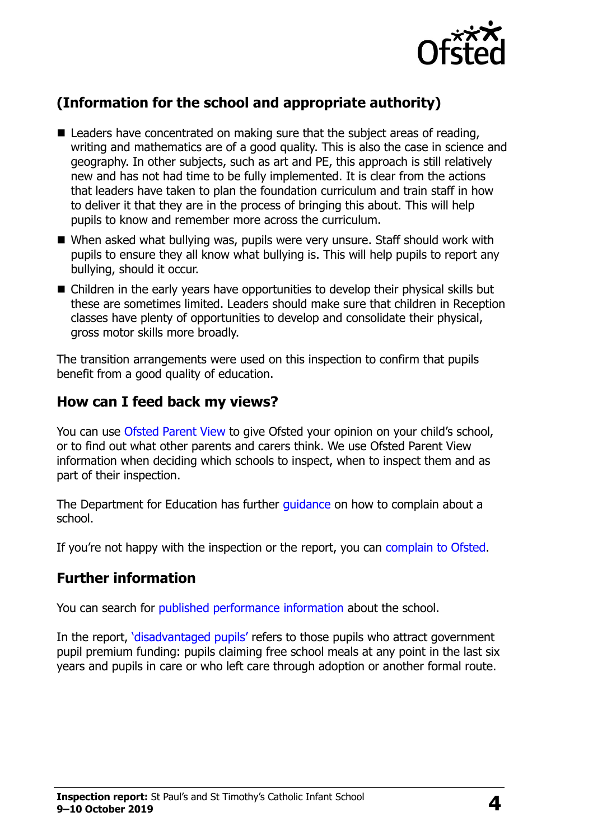

# **(Information for the school and appropriate authority)**

- Leaders have concentrated on making sure that the subject areas of reading, writing and mathematics are of a good quality. This is also the case in science and geography. In other subjects, such as art and PE, this approach is still relatively new and has not had time to be fully implemented. It is clear from the actions that leaders have taken to plan the foundation curriculum and train staff in how to deliver it that they are in the process of bringing this about. This will help pupils to know and remember more across the curriculum.
- When asked what bullying was, pupils were very unsure. Staff should work with pupils to ensure they all know what bullying is. This will help pupils to report any bullying, should it occur.
- Children in the early years have opportunities to develop their physical skills but these are sometimes limited. Leaders should make sure that children in Reception classes have plenty of opportunities to develop and consolidate their physical, gross motor skills more broadly.

The transition arrangements were used on this inspection to confirm that pupils benefit from a good quality of education.

#### **How can I feed back my views?**

You can use [Ofsted Parent View](http://parentview.ofsted.gov.uk/) to give Ofsted your opinion on your child's school, or to find out what other parents and carers think. We use Ofsted Parent View information when deciding which schools to inspect, when to inspect them and as part of their inspection.

The Department for Education has further quidance on how to complain about a school.

If you're not happy with the inspection or the report, you can [complain to Ofsted.](http://www.gov.uk/complain-ofsted-report)

#### **Further information**

You can search for [published performance information](http://www.compare-school-performance.service.gov.uk/) about the school.

In the report, '[disadvantaged pupils](http://www.gov.uk/guidance/pupil-premium-information-for-schools-and-alternative-provision-settings)' refers to those pupils who attract government pupil premium funding: pupils claiming free school meals at any point in the last six years and pupils in care or who left care through adoption or another formal route.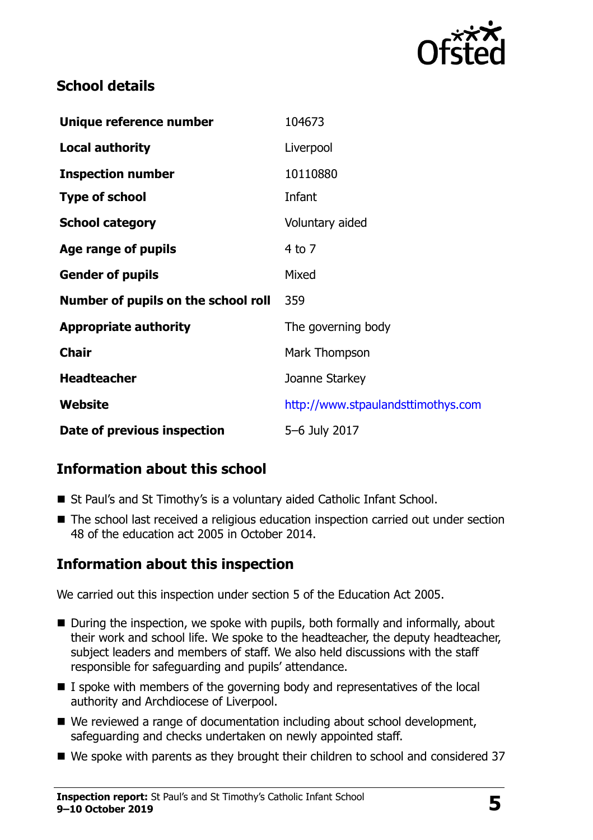

### **School details**

| Unique reference number             | 104673                             |  |
|-------------------------------------|------------------------------------|--|
| <b>Local authority</b>              | Liverpool                          |  |
| <b>Inspection number</b>            | 10110880                           |  |
| <b>Type of school</b>               | Infant                             |  |
| <b>School category</b>              | Voluntary aided                    |  |
| Age range of pupils                 | 4 to 7                             |  |
| <b>Gender of pupils</b>             | Mixed                              |  |
| Number of pupils on the school roll | 359                                |  |
| <b>Appropriate authority</b>        | The governing body                 |  |
| <b>Chair</b>                        | Mark Thompson                      |  |
| <b>Headteacher</b>                  | Joanne Starkey                     |  |
| Website                             | http://www.stpaulandsttimothys.com |  |
| Date of previous inspection         | 5-6 July 2017                      |  |

# **Information about this school**

- St Paul's and St Timothy's is a voluntary aided Catholic Infant School.
- The school last received a religious education inspection carried out under section 48 of the education act 2005 in October 2014.

#### **Information about this inspection**

We carried out this inspection under section 5 of the Education Act 2005.

- During the inspection, we spoke with pupils, both formally and informally, about their work and school life. We spoke to the headteacher, the deputy headteacher, subject leaders and members of staff. We also held discussions with the staff responsible for safeguarding and pupils' attendance.
- I spoke with members of the governing body and representatives of the local authority and Archdiocese of Liverpool.
- We reviewed a range of documentation including about school development, safeguarding and checks undertaken on newly appointed staff.
- We spoke with parents as they brought their children to school and considered 37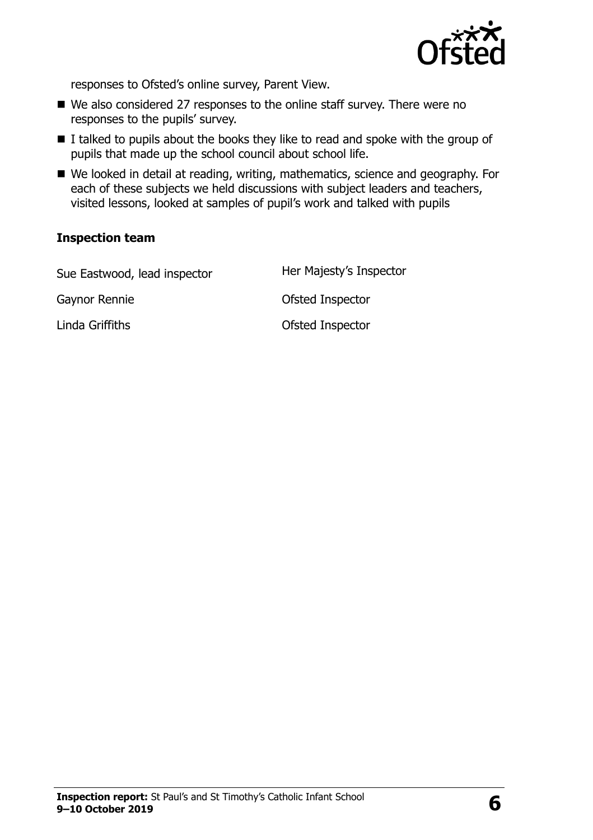

responses to Ofsted's online survey, Parent View.

- We also considered 27 responses to the online staff survey. There were no responses to the pupils' survey.
- I talked to pupils about the books they like to read and spoke with the group of pupils that made up the school council about school life.
- We looked in detail at reading, writing, mathematics, science and geography. For each of these subjects we held discussions with subject leaders and teachers, visited lessons, looked at samples of pupil's work and talked with pupils

#### **Inspection team**

| Sue Eastwood, lead inspector | Her Majesty's Inspector |
|------------------------------|-------------------------|
| Gaynor Rennie                | Ofsted Inspector        |
| Linda Griffiths              | Ofsted Inspector        |